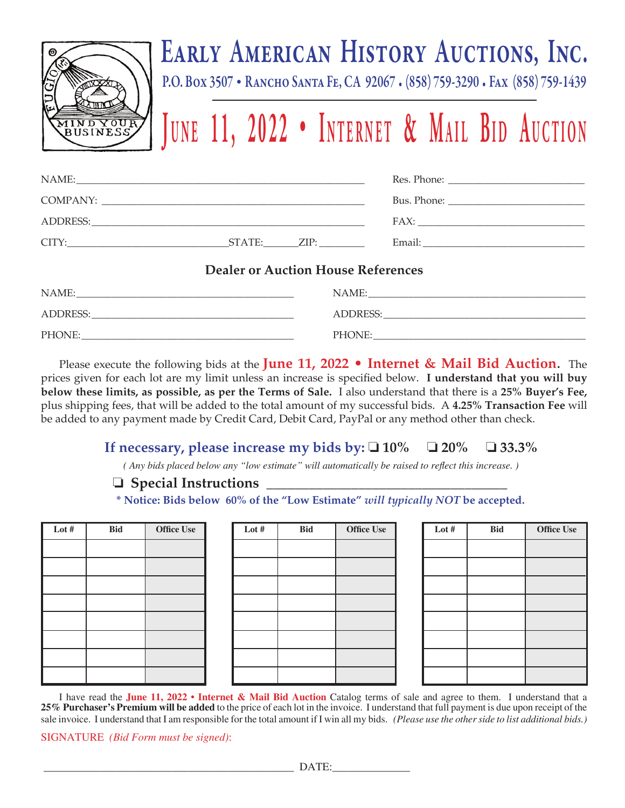

## Early American History Auctions, Inc.

P.O. Box 3507 • Rancho Santa Fe, CA 92067 • (858) 759-3290 • Fax (858) 759-1439

# **JUNE 11, 2022 • INTERNET & MAIL BID AUCTION**

| CITY: |  |                                                                                  |
|-------|--|----------------------------------------------------------------------------------|
|       |  | $\mathbf{D} \cdot \mathbf{1} \cdot \mathbf{A} \cdot \mathbf{A} \cdot \mathbf{B}$ |

#### **Dealer or Auction House References**

| NAME:    | NAME:    |
|----------|----------|
| ADDRESS: | ADDRESS: |
| PHONE:   | PHONE:   |

Please execute the following bids at the **June 11, 2022 • Internet & Mail Bid Auction**. The prices given for each lot are my limit unless an increase is specified below. **I understand that you will buy below these limits, as possible, as per the Terms of Sale.** I also understand that there is a **25% Buyer's Fee,**  plus shipping fees, that will be added to the total amount of my successful bids. A **4.25% Transaction Fee** will be added to any payment made by Credit Card, Debit Card, PayPal or any method other than check.

### **If necessary, please increase my bids by:**  $\Box$  **10%**  $\Box$  **20%**  $\Box$  **33.3%**

*( Any bids placed below any "low estimate" will automatically be raised to reflect this increase. )*

#### **Special Instructions \_\_\_\_\_\_\_\_\_\_\_\_\_\_\_\_\_\_\_\_\_\_\_\_\_\_\_\_\_\_\_\_\_\_**

**\* Notice: Bids below 60% of the "Low Estimate"** *will typically NOT* **be accepted.** 

| Lot # | <b>Bid</b> | <b>Office Use</b> | Lot # | <b>Bid</b> | <b>Office Use</b> | Lot # | <b>Bid</b> | <b>Office Use</b> |
|-------|------------|-------------------|-------|------------|-------------------|-------|------------|-------------------|
|       |            |                   |       |            |                   |       |            |                   |
|       |            |                   |       |            |                   |       |            |                   |
|       |            |                   |       |            |                   |       |            |                   |
|       |            |                   |       |            |                   |       |            |                   |
|       |            |                   |       |            |                   |       |            |                   |
|       |            |                   |       |            |                   |       |            |                   |
|       |            |                   |       |            |                   |       |            |                   |
|       |            |                   |       |            |                   |       |            |                   |

| Lot $#$ | Bid | <b>Office Use</b> |
|---------|-----|-------------------|
|         |     |                   |
|         |     |                   |
|         |     |                   |
|         |     |                   |
|         |     |                   |
|         |     |                   |
|         |     |                   |
|         |     |                   |

| Lot # | <b>Bid</b> | <b>Office Use</b> |
|-------|------------|-------------------|
|       |            |                   |
|       |            |                   |
|       |            |                   |
|       |            |                   |
|       |            |                   |
|       |            |                   |
|       |            |                   |
|       |            |                   |

I have read the **June 11, 2022 • Internet & Mail Bid Auction** Catalog terms of sale and agree to them. I understand that a **25% Purchaser's Premium will be added** to the price of each lot in the invoice. I understand that full payment is due upon receipt of the sale invoice. I understand that I am responsible for the total amount if I win all my bids. *(Please use the other side to list additional bids.)*

SIGNATURE *(Bid Form must be signed)*: